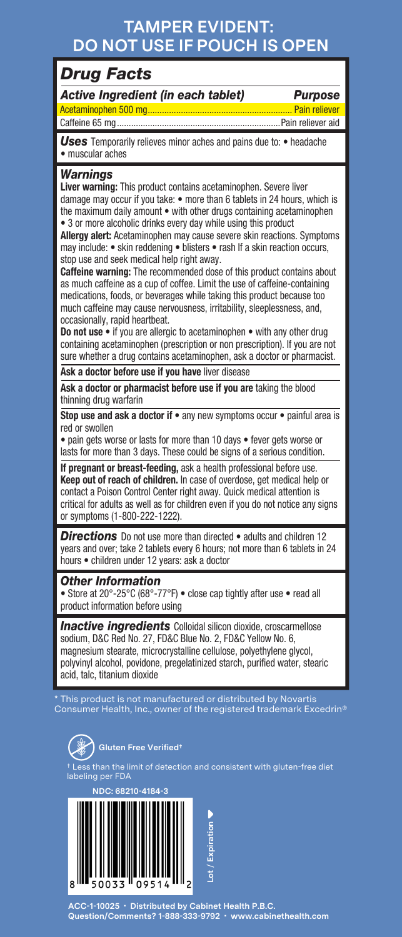## **TAMPER EVIDENT: DO NOT USE IF POUCH IS OPEN**

### *Drug Facts*

| Active Ingredient (in each tablet) |  |  |
|------------------------------------|--|--|
|                                    |  |  |

*Active Ingredient (in each tablet) Purpose* Acetaminophen 500 mg............................................................. Pain reliever

Caffeine 65 mg.....................................................................Pain reliever aid

*Uses* Temporarily relieves minor aches and pains due to: • headache • muscular aches

#### *Warnings*

**Liver warning:** This product contains acetaminophen. Severe liver damage may occur if you take: • more than 6 tablets in 24 hours, which is the maximum daily amount • with other drugs containing acetaminophen • 3 or more alcoholic drinks every day while using this product

**Allergy alert:** Acetaminophen may cause severe skin reactions. Symptoms may include: • skin reddening • blisters • rash If a skin reaction occurs, stop use and seek medical help right away.

**Caffeine warning:** The recommended dose of this product contains about as much caffeine as a cup of coffee. Limit the use of caffeine-containing medications, foods, or beverages while taking this product because too much caffeine may cause nervousness, irritability, sleeplessness, and, occasionally, rapid heartbeat.

**Do not use** • if you are allergic to acetaminophen • with any other drug containing acetaminophen (prescription or non prescription). If you are not sure whether a drug contains acetaminophen, ask a doctor or pharmacist.

**Ask a doctor before use if you have** liver disease

**Ask a doctor or pharmacist before use if you are** taking the blood thinning drug warfarin

**Stop use and ask a doctor if • any new symptoms occur • painful area is** red or swollen

• pain gets worse or lasts for more than 10 days • fever gets worse or lasts for more than 3 days. These could be signs of a serious condition.

**If pregnant or breast-feeding,** ask a health professional before use. **Keep out of reach of children.** In case of overdose, get medical help or contact a Poison Control Center right away. Quick medical attention is critical for adults as well as for children even if you do not notice any signs or symptoms (1-800-222-1222).

**Directions** Do not use more than directed • adults and children 12 years and over; take 2 tablets every 6 hours; not more than 6 tablets in 24 hours • children under 12 years: ask a doctor

### *Other Information*

• Store at 20°-25°C (68°-77°F) • close cap tightly after use • read all product information before using

**Inactive ingredients** Colloidal silicon dioxide, croscarmellose sodium, D&C Red No. 27, FD&C Blue No. 2, FD&C Yellow No. 6, magnesium stearate, microcrystalline cellulose, polyethylene glycol, polyvinyl alcohol, povidone, pregelatinized starch, purified water, stearic acid, talc, titanium dioxide

\* This product is not manufactured or distributed by Novartis Consumer Health, Inc., owner of the registered trademark Excedrin®



ction and consistent with gluten-free diet sthan the limit of de<br>ng per FDA



**ACC-1-10025 • Distributed by Cabinet Health P.B.C. Question/Comments? 1-888-333-9792 • www.cabinethealth.com**